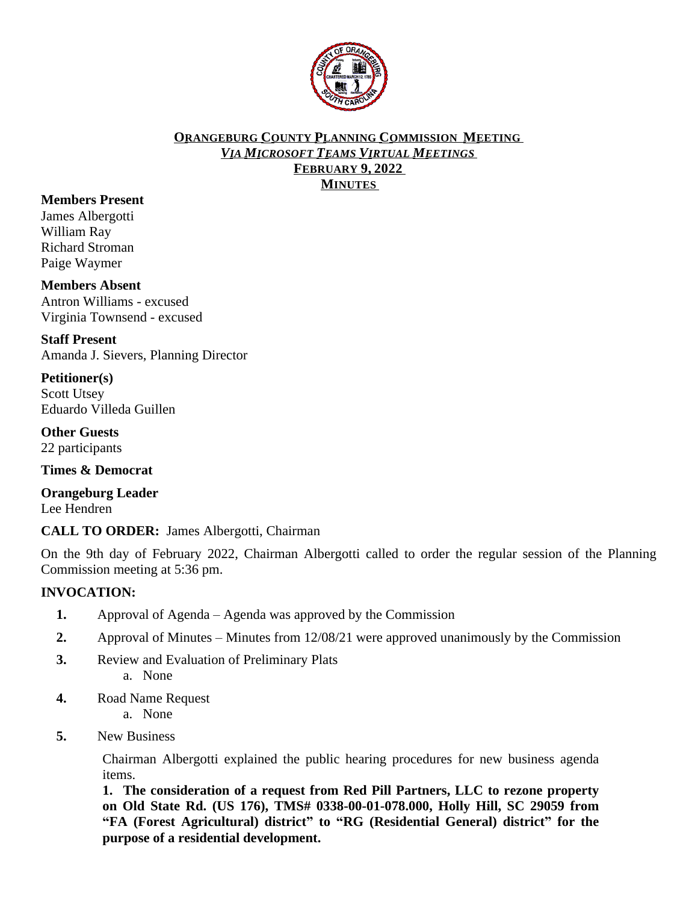

## **ORANGEBURG COUNTY PLANNING COMMISSION MEETING** *VIA MICROSOFT TEAMS VIRTUAL MEETINGS* **FEBRUARY 9, 2022 MINUTES**

# **Members Present**

James Albergotti William Ray Richard Stroman Paige Waymer

#### **Members Absent**

Antron Williams - excused Virginia Townsend - excused

**Staff Present** Amanda J. Sievers, Planning Director

**Petitioner(s)** Scott Utsey Eduardo Villeda Guillen

**Other Guests** 22 participants

**Times & Democrat**

**Orangeburg Leader** Lee Hendren

**CALL TO ORDER:** James Albergotti, Chairman

On the 9th day of February 2022, Chairman Albergotti called to order the regular session of the Planning Commission meeting at 5:36 pm.

# **INVOCATION:**

- **1.** Approval of Agenda Agenda was approved by the Commission
- **2.** Approval of Minutes Minutes from 12/08/21 were approved unanimously by the Commission
- **3.** Review and Evaluation of Preliminary Plats a. None
- **4.** Road Name Request
	- a. None
- **5.** New Business

Chairman Albergotti explained the public hearing procedures for new business agenda items.

**1. The consideration of a request from Red Pill Partners, LLC to rezone property on Old State Rd. (US 176), TMS# 0338-00-01-078.000, Holly Hill, SC 29059 from "FA (Forest Agricultural) district" to "RG (Residential General) district" for the purpose of a residential development.**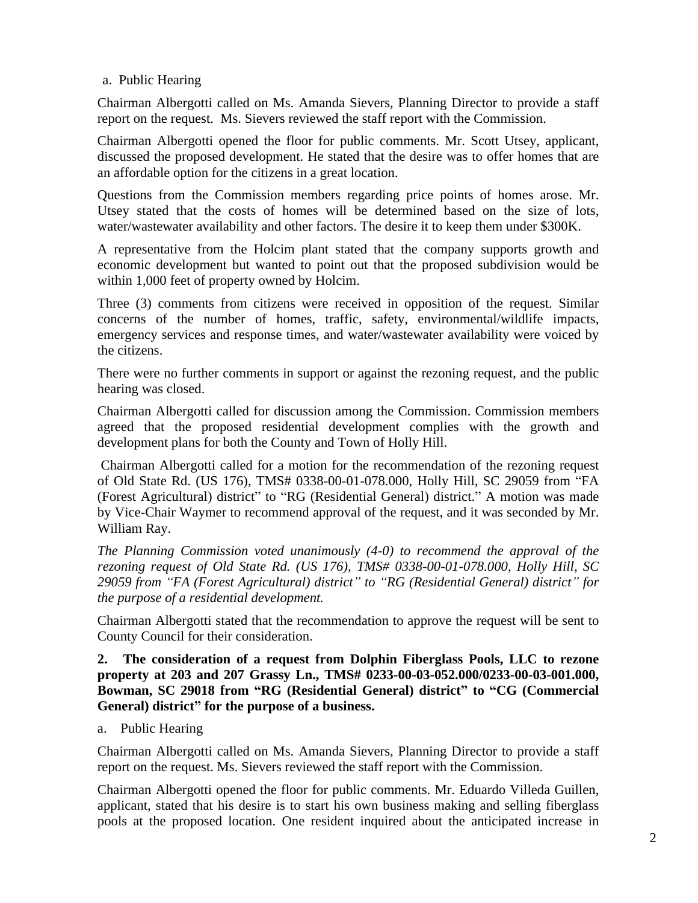# a. Public Hearing

Chairman Albergotti called on Ms. Amanda Sievers, Planning Director to provide a staff report on the request. Ms. Sievers reviewed the staff report with the Commission.

Chairman Albergotti opened the floor for public comments. Mr. Scott Utsey, applicant, discussed the proposed development. He stated that the desire was to offer homes that are an affordable option for the citizens in a great location.

Questions from the Commission members regarding price points of homes arose. Mr. Utsey stated that the costs of homes will be determined based on the size of lots, water/wastewater availability and other factors. The desire it to keep them under \$300K.

A representative from the Holcim plant stated that the company supports growth and economic development but wanted to point out that the proposed subdivision would be within 1,000 feet of property owned by Holcim.

Three (3) comments from citizens were received in opposition of the request. Similar concerns of the number of homes, traffic, safety, environmental/wildlife impacts, emergency services and response times, and water/wastewater availability were voiced by the citizens.

There were no further comments in support or against the rezoning request, and the public hearing was closed.

Chairman Albergotti called for discussion among the Commission. Commission members agreed that the proposed residential development complies with the growth and development plans for both the County and Town of Holly Hill.

Chairman Albergotti called for a motion for the recommendation of the rezoning request of Old State Rd. (US 176), TMS# 0338-00-01-078.000, Holly Hill, SC 29059 from "FA (Forest Agricultural) district" to "RG (Residential General) district." A motion was made by Vice-Chair Waymer to recommend approval of the request, and it was seconded by Mr. William Ray.

*The Planning Commission voted unanimously (4-0) to recommend the approval of the rezoning request of Old State Rd. (US 176), TMS# 0338-00-01-078.000, Holly Hill, SC 29059 from "FA (Forest Agricultural) district" to "RG (Residential General) district" for the purpose of a residential development.*

Chairman Albergotti stated that the recommendation to approve the request will be sent to County Council for their consideration.

**2. The consideration of a request from Dolphin Fiberglass Pools, LLC to rezone property at 203 and 207 Grassy Ln., TMS# 0233-00-03-052.000/0233-00-03-001.000, Bowman, SC 29018 from "RG (Residential General) district" to "CG (Commercial General) district" for the purpose of a business.**

a.Public Hearing

Chairman Albergotti called on Ms. Amanda Sievers, Planning Director to provide a staff report on the request. Ms. Sievers reviewed the staff report with the Commission.

Chairman Albergotti opened the floor for public comments. Mr. Eduardo Villeda Guillen, applicant, stated that his desire is to start his own business making and selling fiberglass pools at the proposed location. One resident inquired about the anticipated increase in